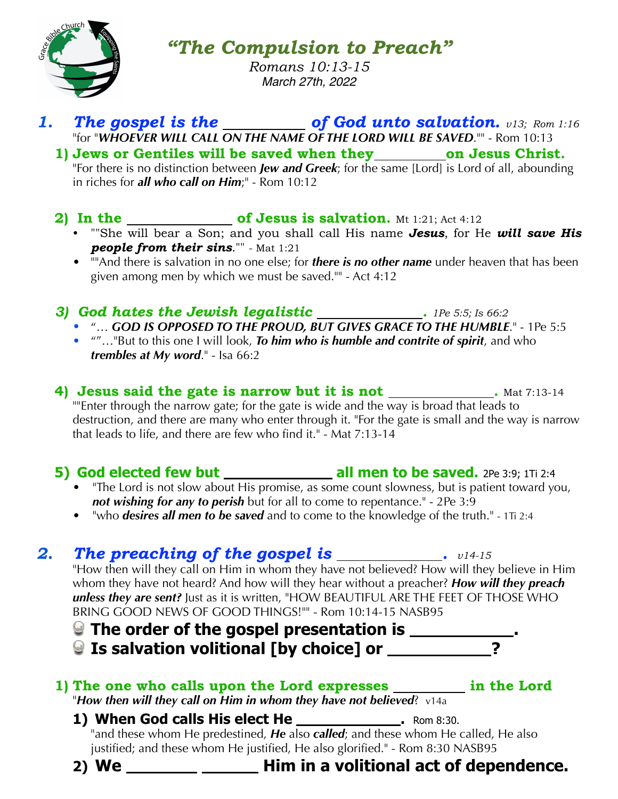

*"The Compulsion to Preach"*

*Romans 10:13-15 March 27th, 2022*

# **1.** The gospel is the **of God unto salvation.**  $v13$ ; Rom 1:16 "for "*WHOEVER WILL CALL ON THE NAME OF THE LORD WILL BE SAVED*."" - Rom 10:13

1) Jews or Gentiles will be saved when they on Jesus Christ. "For there is no distinction between *Jew and Greek*; for the same [Lord] is Lord of all, abounding in riches for *all who call on Him*;" - Rom 10:12

## **2)** In the <u>contact of Jesus is salvation.</u> Mt 1:21; Act 4:12

- ""She will bear a Son; and you shall call His name *Jesus*, for He *will save His people from their sins*."" - Mat 1:21
- **"**And there is salvation in no one else; for *there is no other name* under heaven that has been given among men by which we must be saved."" - Act 4:12

## *3) God hates the Jewish legalistic . 1Pe 5:5; Is 66:2*

- "… *GOD IS OPPOSED TO THE PROUD, BUT GIVES GRACE TO THE HUMBLE*." 1Pe 5:5
- ""…"But to this one I will look, *To him who is humble and contrite of spirit*, and who *trembles at My word*." - Isa 66:2

**4) Jesus said the gate is narrow but it is not** . Mat 7:13-14 ""Enter through the narrow gate; for the gate is wide and the way is broad that leads to destruction, and there are many who enter through it. "For the gate is small and the way is narrow that leads to life, and there are few who find it."  $\sim$  Mat 7:13-14

## **5) God elected few but \_\_\_\_\_\_\_\_\_\_\_\_\_\_\_\_ all men to be saved.** 2Pe 3:9; 1Ti 2:4

- "The Lord is not slow about His promise, as some count slowness, but is patient toward you, *not wishing for any to perish* but for all to come to repentance." - 2Pe 3:9
- "who *desires all men to be saved* and to come to the knowledge of the truth." 1Ti 2:4

# **2. The preaching of the gospel is \_\_\_\_\_\_\_\_\_\_\_\_\_.**  $v14-15$

"How then will they call on Him in whom they have not believed? How will they believe in Him whom they have not heard? And how will they hear without a preacher? *How will they preach unless they are sent?* Just as it is written, "HOW BEAUTIFUL ARE THE FEET OF THOSE WHO BRING GOOD NEWS OF GOOD THINGS!"" - Rom 10:14-15 NASB95

- **The order of the gospel presentation is .**
- **Q Is salvation volitional [by choice] or \_\_\_\_\_\_\_\_**

#### 1) The one who calls upon the Lord expresses **in the Lord** "*How then will they call on Him in whom they have not believed*? v14a

1) When God calls His elect He **\_\_\_\_\_\_\_\_\_\_\_\_\_\_\_\_**. Rom 8:30. "and these whom He predestined, *He* also *called*; and these whom He called, He also justified; and these whom He justified, He also glorified." - Rom 8:30 NASB95



**2) We Him in a volitional act of dependence.**